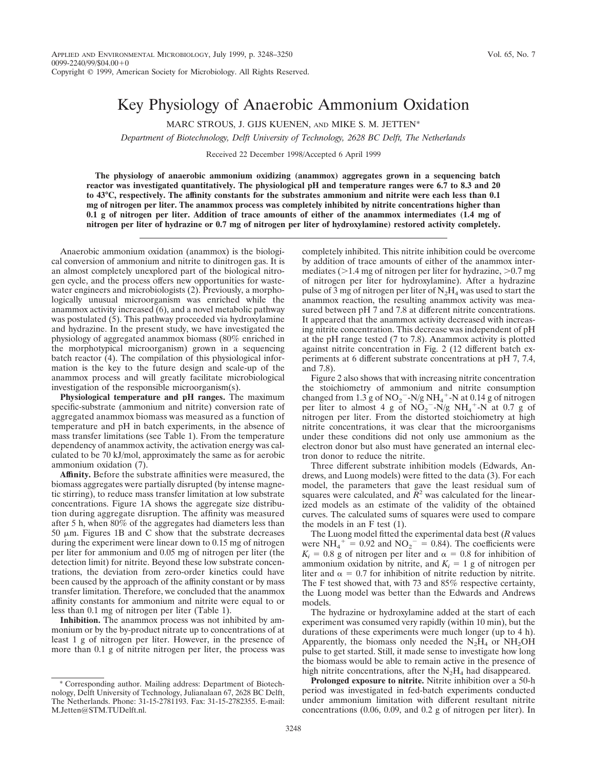## Key Physiology of Anaerobic Ammonium Oxidation

MARC STROUS, J. GIJS KUENEN, AND MIKE S. M. JETTEN\*

*Department of Biotechnology, Delft University of Technology, 2628 BC Delft, The Netherlands*

Received 22 December 1998/Accepted 6 April 1999

**The physiology of anaerobic ammonium oxidizing (anammox) aggregates grown in a sequencing batch reactor was investigated quantitatively. The physiological pH and temperature ranges were 6.7 to 8.3 and 20 to 43°C, respectively. The affinity constants for the substrates ammonium and nitrite were each less than 0.1 mg of nitrogen per liter. The anammox process was completely inhibited by nitrite concentrations higher than 0.1 g of nitrogen per liter. Addition of trace amounts of either of the anammox intermediates (1.4 mg of nitrogen per liter of hydrazine or 0.7 mg of nitrogen per liter of hydroxylamine) restored activity completely.**

Anaerobic ammonium oxidation (anammox) is the biological conversion of ammonium and nitrite to dinitrogen gas. It is an almost completely unexplored part of the biological nitrogen cycle, and the process offers new opportunities for wastewater engineers and microbiologists (2). Previously, a morphologically unusual microorganism was enriched while the anammox activity increased (6), and a novel metabolic pathway was postulated (5). This pathway proceeded via hydroxylamine and hydrazine. In the present study, we have investigated the physiology of aggregated anammox biomass (80% enriched in the morphotypical microorganism) grown in a sequencing batch reactor (4). The compilation of this physiological information is the key to the future design and scale-up of the anammox process and will greatly facilitate microbiological investigation of the responsible microorganism(s).

**Physiological temperature and pH ranges.** The maximum specific-substrate (ammonium and nitrite) conversion rate of aggregated anammox biomass was measured as a function of temperature and pH in batch experiments, in the absence of mass transfer limitations (see Table 1). From the temperature dependency of anammox activity, the activation energy was calculated to be 70 kJ/mol, approximately the same as for aerobic ammonium oxidation (7).

**Affinity.** Before the substrate affinities were measured, the biomass aggregates were partially disrupted (by intense magnetic stirring), to reduce mass transfer limitation at low substrate concentrations. Figure 1A shows the aggregate size distribution during aggregate disruption. The affinity was measured after 5 h, when 80% of the aggregates had diameters less than 50  $\mu$ m. Figures 1B and C show that the substrate decreases during the experiment were linear down to 0.15 mg of nitrogen per liter for ammonium and 0.05 mg of nitrogen per liter (the detection limit) for nitrite. Beyond these low substrate concentrations, the deviation from zero-order kinetics could have been caused by the approach of the affinity constant or by mass transfer limitation. Therefore, we concluded that the anammox affinity constants for ammonium and nitrite were equal to or less than 0.1 mg of nitrogen per liter (Table 1).

**Inhibition.** The anammox process was not inhibited by ammonium or by the by-product nitrate up to concentrations of at least 1 g of nitrogen per liter. However, in the presence of more than 0.1 g of nitrite nitrogen per liter, the process was

completely inhibited. This nitrite inhibition could be overcome by addition of trace amounts of either of the anammox intermediates  $(>1.4 \text{ mg of nitrogen per liter for hydrogen, } >0.7 \text{ mg})$ of nitrogen per liter for hydroxylamine). After a hydrazine pulse of 3 mg of nitrogen per liter of  $N_2H_4$  was used to start the anammox reaction, the resulting anammox activity was measured between pH 7 and 7.8 at different nitrite concentrations. It appeared that the anammox activity decreased with increasing nitrite concentration. This decrease was independent of pH at the pH range tested (7 to 7.8). Anammox activity is plotted against nitrite concentration in Fig. 2 (12 different batch experiments at 6 different substrate concentrations at pH 7, 7.4, and 7.8).

Figure 2 also shows that with increasing nitrite concentration the stoichiometry of ammonium and nitrite consumption changed from  $1.3$  g of NO<sub>2</sub><sup>-</sup>-N/g NH<sub>4</sub><sup>+</sup>-N at 0.14 g of nitrogen per liter to almost 4 g of  $NO_2$ <sup>-</sup>-N/g NH<sub>4</sub><sup>+</sup>-N at 0.7 g of nitrogen per liter. From the distorted stoichiometry at high nitrite concentrations, it was clear that the microorganisms under these conditions did not only use ammonium as the electron donor but also must have generated an internal electron donor to reduce the nitrite.

Three different substrate inhibition models (Edwards, Andrews, and Luong models) were fitted to the data (3). For each model, the parameters that gave the least residual sum of squares were calculated, and  $\bar{R}^2$  was calculated for the linearized models as an estimate of the validity of the obtained curves. The calculated sums of squares were used to compare the models in an F test (1).

The Luong model fitted the experimental data best (*R* values were  $NH_4^+ = 0.92$  and  $NO_2^- = 0.84$ ). The coefficients were  $K_i = 0.8$  g of nitrogen per liter and  $\alpha = 0.8$  for inhibition of ammonium oxidation by nitrite, and  $K_i = 1$  g of nitrogen per liter and  $\alpha = 0.7$  for inhibition of nitrite reduction by nitrite. The F test showed that, with 73 and 85% respective certainty, the Luong model was better than the Edwards and Andrews models.

The hydrazine or hydroxylamine added at the start of each experiment was consumed very rapidly (within 10 min), but the durations of these experiments were much longer (up to 4 h). Apparently, the biomass only needed the  $N_2H_4$  or  $NH_2OH$ pulse to get started. Still, it made sense to investigate how long the biomass would be able to remain active in the presence of high nitrite concentrations, after the  $N_2H_4$  had disappeared.

**Prolonged exposure to nitrite.** Nitrite inhibition over a 50-h period was investigated in fed-batch experiments conducted under ammonium limitation with different resultant nitrite concentrations (0.06, 0.09, and 0.2 g of nitrogen per liter). In

<sup>\*</sup> Corresponding author. Mailing address: Department of Biotechnology, Delft University of Technology, Julianalaan 67, 2628 BC Delft, The Netherlands. Phone: 31-15-2781193. Fax: 31-15-2782355. E-mail: M.Jetten@STM.TUDelft.nl.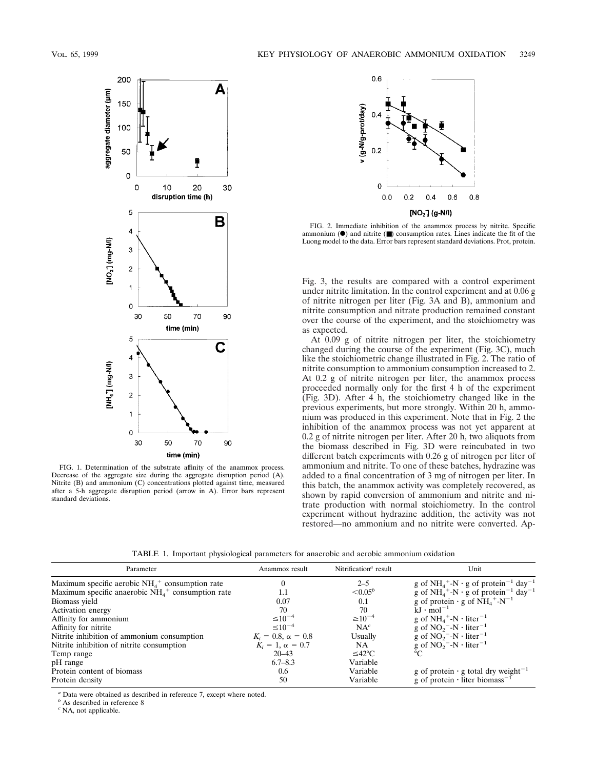

FIG. 1. Determination of the substrate affinity of the anammox process. Decrease of the aggregate size during the aggregate disruption period (A). Nitrite (B) and ammonium (C) concentrations plotted against time, measured after a 5-h aggregate disruption period (arrow in A). Error bars represent standard deviations.



FIG. 2. Immediate inhibition of the anammox process by nitrite. Specific ammonium  $(\bullet)$  and nitrite  $(\blacksquare)$  consumption rates. Lines indicate the fit of the Luong model to the data. Error bars represent standard deviations. Prot, protein.

Fig. 3, the results are compared with a control experiment under nitrite limitation. In the control experiment and at 0.06 g of nitrite nitrogen per liter (Fig. 3A and B), ammonium and nitrite consumption and nitrate production remained constant over the course of the experiment, and the stoichiometry was as expected.

At 0.09 g of nitrite nitrogen per liter, the stoichiometry changed during the course of the experiment (Fig. 3C), much like the stoichiometric change illustrated in Fig. 2. The ratio of nitrite consumption to ammonium consumption increased to 2. At 0.2 g of nitrite nitrogen per liter, the anammox process proceeded normally only for the first 4 h of the experiment (Fig. 3D). After 4 h, the stoichiometry changed like in the previous experiments, but more strongly. Within 20 h, ammonium was produced in this experiment. Note that in Fig. 2 the inhibition of the anammox process was not yet apparent at 0.2 g of nitrite nitrogen per liter. After 20 h, two aliquots from the biomass described in Fig. 3D were reincubated in two different batch experiments with 0.26 g of nitrogen per liter of ammonium and nitrite. To one of these batches, hydrazine was added to a final concentration of 3 mg of nitrogen per liter. In this batch, the anammox activity was completely recovered, as shown by rapid conversion of ammonium and nitrite and nitrate production with normal stoichiometry. In the control experiment without hydrazine addition, the activity was not restored—no ammonium and no nitrite were converted. Ap-

TABLE 1. Important physiological parameters for anaerobic and aerobic ammonium oxidation

| Parameter                                                       | Anammox result            | Nitrification <sup><math>a</math></sup> result | Unit                                                                                |
|-----------------------------------------------------------------|---------------------------|------------------------------------------------|-------------------------------------------------------------------------------------|
| Maximum specific aerobic $NH_4$ <sup>+</sup> consumption rate   |                           | $2 - 5$                                        | g of NH <sub>4</sub> <sup>+</sup> -N · g of protein <sup>-1</sup> day <sup>-1</sup> |
| Maximum specific anaerobic $NH_4$ <sup>+</sup> consumption rate |                           | $< 0.05^b$                                     | g of NH <sub>4</sub> <sup>+</sup> -N · g of protein <sup>-1</sup> day <sup>-1</sup> |
| Biomass yield                                                   | 0.07                      | 0.1                                            | g of protein $\cdot$ g of NH <sub>4</sub> <sup>+</sup> -N <sup>-1</sup>             |
| <b>Activation energy</b>                                        | 70                        | 70                                             | $kJ \cdot mol^{-1}$                                                                 |
| Affinity for ammonium                                           | $\leq 10^{-4}$            | $\geq 10^{-4}$                                 | g of $NH_4$ <sup>+</sup> -N · liter <sup>-1</sup>                                   |
| Affinity for nitrite                                            | $\leq 10^{-4}$            | $NA^c$                                         | g of $NO_2$ <sup>-</sup> -N · liter <sup>-1</sup>                                   |
| Nitrite inhibition of ammonium consumption                      | $K_i = 0.8, \alpha = 0.8$ | Usually                                        | g of $NO_2$ <sup>-</sup> -N · liter <sup>-1</sup>                                   |
| Nitrite inhibition of nitrite consumption                       | $K_i = 1, \alpha = 0.7$   | <b>NA</b>                                      | g of $NO_2$ <sup>-</sup> -N · liter <sup>-1</sup>                                   |
| Temp range                                                      | $20 - 43$                 | $≤42$ °C                                       | °∩                                                                                  |
| pH range                                                        | $6.7 - 8.3$               | Variable                                       |                                                                                     |
| Protein content of biomass                                      | 0.6                       | Variable                                       | g of protein $\cdot$ g total dry weight <sup>-1</sup>                               |
| Protein density                                                 | 50                        | Variable                                       | g of protein $\cdot$ liter biomass <sup>-1</sup>                                    |

*<sup>a</sup>* Data were obtained as described in reference 7, except where noted.

*<sup>b</sup>* As described in reference 8

*<sup>c</sup>* NA, not applicable.